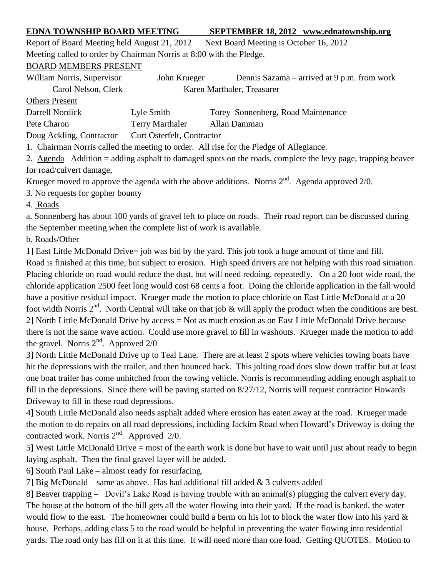## **EDNA TOWNSHIP BOARD MEETING SEPTEMBER 18, 2012 www.ednatownship.org**

Report of Board Meeting held August 21, 2012 Next Board Meeting is October 16, 2012 Meeting called to order by Chairman Norris at 8:00 with the Pledge.

BOARD MEMBERS PRESENT

William Norris, Supervisor John Krueger Dennis Sazama – arrived at 9 p.m. from work Carol Nelson, Clerk Karen Marthaler, Treasurer Others Present Darrell Nordick Lyle Smith Torey Sonnenberg, Road Maintenance Pete Charon Terry Marthaler Allan Damman

Doug Ackling, Contractor Curt Osterfelt, Contractor

1. Chairman Norris called the meeting to order. All rise for the Pledge of Allegiance.

2. Agenda Addition = adding asphalt to damaged spots on the roads, complete the levy page, trapping beaver for road/culvert damage,

Krueger moved to approve the agenda with the above additions. Norris  $2<sup>nd</sup>$ . Agenda approved  $2/0$ .

3. No requests for gopher bounty

4. Roads

a. Sonnenberg has about 100 yards of gravel left to place on roads. Their road report can be discussed during the September meeting when the complete list of work is available.

b. Roads/Other

1] East Little McDonald Drive= job was bid by the yard. This job took a huge amount of time and fill.

Road is finished at this time, but subject to erosion. High speed drivers are not helping with this road situation. Placing chloride on road would reduce the dust, but will need redoing, repeatedly. On a 20 foot wide road, the chloride application 2500 feet long would cost 68 cents a foot. Doing the chloride application in the fall would have a positive residual impact. Krueger made the motion to place chloride on East Little McDonald at a 20 foot width Norris  $2^{nd}$ . North Central will take on that job & will apply the product when the conditions are best. 2] North Little McDonald Drive by access = Not as much erosion as on East Little McDonald Drive because there is not the same wave action. Could use more gravel to fill in washouts. Krueger made the motion to add the gravel. Norris  $2<sup>nd</sup>$ . Approved  $2/0$ 

3] North Little McDonald Drive up to Teal Lane. There are at least 2 spots where vehicles towing boats have hit the depressions with the trailer, and then bounced back. This jolting road does slow down traffic but at least one boat trailer has come unhitched from the towing vehicle. Norris is recommending adding enough asphalt to fill in the depressions. Since there will be paving started on 8/27/12, Norris will request contractor Howards Driveway to fill in these road depressions.

4] South Little McDonald also needs asphalt added where erosion has eaten away at the road. Krueger made the motion to do repairs on all road depressions, including Jackim Road when Howard's Driveway is doing the contracted work. Norris  $2<sup>nd</sup>$ . Approved  $2/0$ .

5] West Little McDonald Drive = most of the earth work is done but have to wait until just about ready to begin laying asphalt. Then the final gravel layer will be added.

6] South Paul Lake – almost ready for resurfacing.

7] Big McDonald – same as above. Has had additional fill added & 3 culverts added

8] Beaver trapping – Devil's Lake Road is having trouble with an animal(s) plugging the culvert every day. The house at the bottom of the hill gets all the water flowing into their yard. If the road is banked, the water would flow to the east. The homeowner could build a berm on his lot to block the water flow into his yard & house. Perhaps, adding class 5 to the road would be helpful in preventing the water flowing into residential yards. The road only has fill on it at this time. It will need more than one load. Getting QUOTES. Motion to